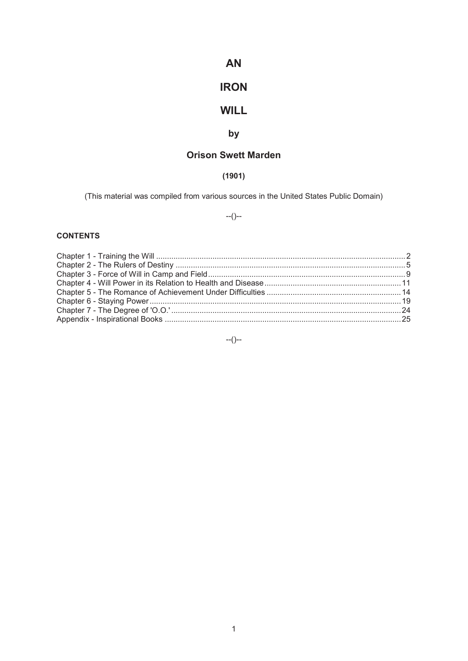# **AN**

# **IRON**

# **WILL**

# **by**

# **Orison Swett Marden**

# **(1901)**

(This material was compiled from various sources in the United States Public Domain)

--()--

# **CONTENTS**

--()--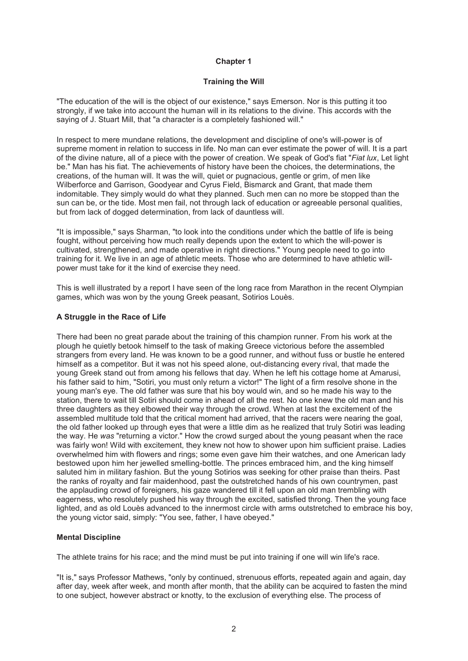## **Training the Will**

"The education of the will is the object of our existence," says Emerson. Nor is this putting it too strongly, if we take into account the human will in its relations to the divine. This accords with the saying of J. Stuart Mill, that "a character is a completely fashioned will."

In respect to mere mundane relations, the development and discipline of one's will-power is of supreme moment in relation to success in life. No man can ever estimate the power of will. It is a part of the divine nature, all of a piece with the power of creation. We speak of God's fiat "*Fiat lux*, Let light be." Man has his fiat. The achievements of history have been the choices, the determinations, the creations, of the human will. It was the will, quiet or pugnacious, gentle or grim, of men like Wilberforce and Garrison, Goodyear and Cyrus Field, Bismarck and Grant, that made them indomitable. They simply would do what they planned. Such men can no more be stopped than the sun can be, or the tide. Most men fail, not through lack of education or agreeable personal qualities, but from lack of dogged determination, from lack of dauntless will.

"It is impossible," says Sharman, "to look into the conditions under which the battle of life is being fought, without perceiving how much really depends upon the extent to which the will-power is cultivated, strengthened, and made operative in right directions." Young people need to go into training for it. We live in an age of athletic meets. Those who are determined to have athletic willpower must take for it the kind of exercise they need.

This is well illustrated by a report I have seen of the long race from Marathon in the recent Olympian games, which was won by the young Greek peasant, Sotirios Louès.

# **A Struggle in the Race of Life**

There had been no great parade about the training of this champion runner. From his work at the plough he quietly betook himself to the task of making Greece victorious before the assembled strangers from every land. He was known to be a good runner, and without fuss or bustle he entered himself as a competitor. But it was not his speed alone, out-distancing every rival, that made the young Greek stand out from among his fellows that day. When he left his cottage home at Amarusi, his father said to him, "Sotiri, you must only return a victor!" The light of a firm resolve shone in the young man's eye. The old father was sure that his boy would win, and so he made his way to the station, there to wait till Sotiri should come in ahead of all the rest. No one knew the old man and his three daughters as they elbowed their way through the crowd. When at last the excitement of the assembled multitude told that the critical moment had arrived, that the racers were nearing the goal. the old father looked up through eyes that were a little dim as he realized that truly Sotiri was leading the way. He *was* "returning a victor." How the crowd surged about the young peasant when the race was fairly won! Wild with excitement, they knew not how to shower upon him sufficient praise. Ladies overwhelmed him with flowers and rings; some even gave him their watches, and one American lady bestowed upon him her jewelled smelling-bottle. The princes embraced him, and the king himself saluted him in military fashion. But the young Sotirios was seeking for other praise than theirs. Past the ranks of royalty and fair maidenhood, past the outstretched hands of his own countrymen, past the applauding crowd of foreigners, his gaze wandered till it fell upon an old man trembling with eagerness, who resolutely pushed his way through the excited, satisfied throng. Then the young face lighted, and as old Louès advanced to the innermost circle with arms outstretched to embrace his boy, the young victor said, simply: "You see, father, I have obeyed."

# **Mental Discipline**

The athlete trains for his race; and the mind must be put into training if one will win life's race.

"It is," says Professor Mathews, "only by continued, strenuous efforts, repeated again and again, day after day, week after week, and month after month, that the ability can be acquired to fasten the mind to one subject, however abstract or knotty, to the exclusion of everything else. The process of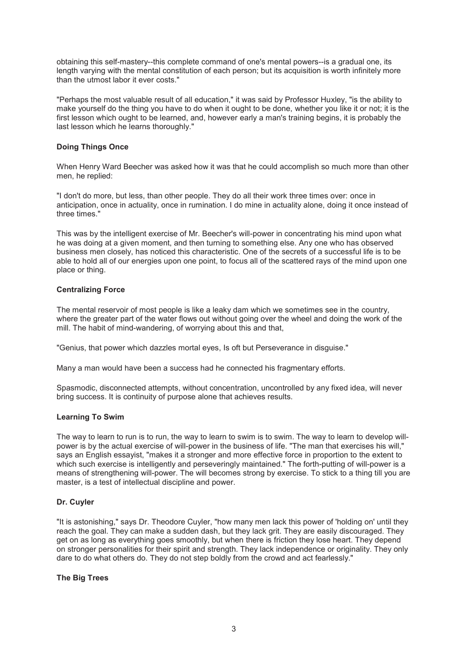obtaining this self-mastery--this complete command of one's mental powers--is a gradual one, its length varying with the mental constitution of each person; but its acquisition is worth infinitely more than the utmost labor it ever costs."

"Perhaps the most valuable result of all education," it was said by Professor Huxley, "is the ability to make yourself do the thing you have to do when it ought to be done, whether you like it or not; it is the first lesson which ought to be learned, and, however early a man's training begins, it is probably the last lesson which he learns thoroughly."

# **Doing Things Once**

When Henry Ward Beecher was asked how it was that he could accomplish so much more than other men, he replied:

"I don't do more, but less, than other people. They do all their work three times over: once in anticipation, once in actuality, once in rumination. I do mine in actuality alone, doing it once instead of three times."

This was by the intelligent exercise of Mr. Beecher's will-power in concentrating his mind upon what he was doing at a given moment, and then turning to something else. Any one who has observed business men closely, has noticed this characteristic. One of the secrets of a successful life is to be able to hold all of our energies upon one point, to focus all of the scattered rays of the mind upon one place or thing.

# **Centralizing Force**

The mental reservoir of most people is like a leaky dam which we sometimes see in the country, where the greater part of the water flows out without going over the wheel and doing the work of the mill. The habit of mind-wandering, of worrying about this and that,

"Genius, that power which dazzles mortal eyes, Is oft but Perseverance in disguise."

Many a man would have been a success had he connected his fragmentary efforts.

Spasmodic, disconnected attempts, without concentration, uncontrolled by any fixed idea, will never bring success. It is continuity of purpose alone that achieves results.

# **Learning To Swim**

The way to learn to run is to run, the way to learn to swim is to swim. The way to learn to develop willpower is by the actual exercise of will-power in the business of life. "The man that exercises his will," says an English essayist, "makes it a stronger and more effective force in proportion to the extent to which such exercise is intelligently and perseveringly maintained." The forth-putting of will-power is a means of strengthening will-power. The will becomes strong by exercise. To stick to a thing till you are master, is a test of intellectual discipline and power.

#### **Dr. Cuyler**

"It is astonishing," says Dr. Theodore Cuyler, "how many men lack this power of 'holding on' until they reach the goal. They can make a sudden dash, but they lack grit. They are easily discouraged. They get on as long as everything goes smoothly, but when there is friction they lose heart. They depend on stronger personalities for their spirit and strength. They lack independence or originality. They only dare to do what others do. They do not step boldly from the crowd and act fearlessly."

#### **The Big Trees**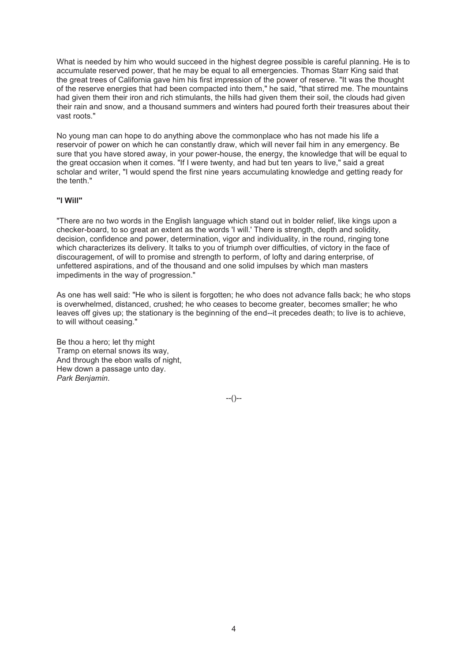What is needed by him who would succeed in the highest degree possible is careful planning. He is to accumulate reserved power, that he may be equal to all emergencies. Thomas Starr King said that the great trees of California gave him his first impression of the power of reserve. "It was the thought of the reserve energies that had been compacted into them," he said, "that stirred me. The mountains had given them their iron and rich stimulants, the hills had given them their soil, the clouds had given their rain and snow, and a thousand summers and winters had poured forth their treasures about their vast roots."

No young man can hope to do anything above the commonplace who has not made his life a reservoir of power on which he can constantly draw, which will never fail him in any emergency. Be sure that you have stored away, in your power-house, the energy, the knowledge that will be equal to the great occasion when it comes. "If I were twenty, and had but ten years to live," said a great scholar and writer, "I would spend the first nine years accumulating knowledge and getting ready for the tenth."

# **"I Will"**

"There are no two words in the English language which stand out in bolder relief, like kings upon a checker-board, to so great an extent as the words 'I will.' There is strength, depth and solidity, decision, confidence and power, determination, vigor and individuality, in the round, ringing tone which characterizes its delivery. It talks to you of triumph over difficulties, of victory in the face of discouragement, of will to promise and strength to perform, of lofty and daring enterprise, of unfettered aspirations, and of the thousand and one solid impulses by which man masters impediments in the way of progression."

As one has well said: "He who is silent is forgotten; he who does not advance falls back; he who stops is overwhelmed, distanced, crushed; he who ceases to become greater, becomes smaller; he who leaves off gives up; the stationary is the beginning of the end--it precedes death; to live is to achieve, to will without ceasing."

Be thou a hero; let thy might Tramp on eternal snows its way, And through the ebon walls of night, Hew down a passage unto day. *Park Benjamin*.

--()--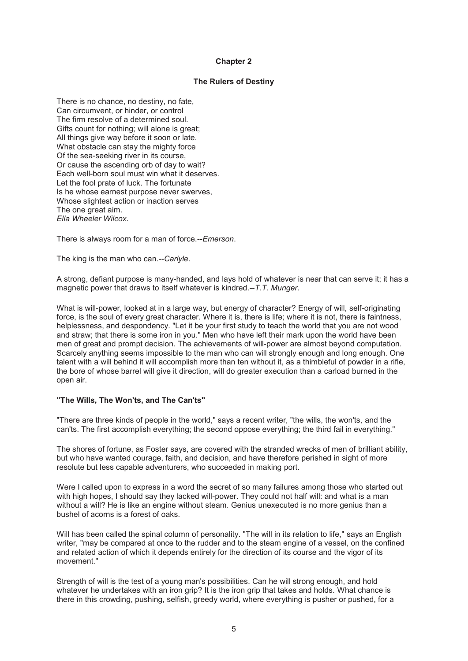# **The Rulers of Destiny**

There is no chance, no destiny, no fate, Can circumvent, or hinder, or control The firm resolve of a determined soul. Gifts count for nothing; will alone is great; All things give way before it soon or late. What obstacle can stay the mighty force Of the sea-seeking river in its course, Or cause the ascending orb of day to wait? Each well-born soul must win what it deserves. Let the fool prate of luck. The fortunate Is he whose earnest purpose never swerves, Whose slightest action or inaction serves The one great aim. *Ella Wheeler Wilcox*.

There is always room for a man of force.--*Emerson*.

The king is the man who can.--*Carlyle*.

A strong, defiant purpose is many-handed, and lays hold of whatever is near that can serve it; it has a magnetic power that draws to itself whatever is kindred.--*T.T. Munger*.

What is will-power, looked at in a large way, but energy of character? Energy of will, self-originating force, is the soul of every great character. Where it is, there is life; where it is not, there is faintness, helplessness, and despondency. "Let it be your first study to teach the world that you are not wood and straw; that there is some iron in you." Men who have left their mark upon the world have been men of great and prompt decision. The achievements of will-power are almost beyond computation. Scarcely anything seems impossible to the man who can will strongly enough and long enough. One talent with a will behind it will accomplish more than ten without it, as a thimbleful of powder in a rifle, the bore of whose barrel will give it direction, will do greater execution than a carload burned in the open air.

#### **"The Wills, The Won'ts, and The Can'ts"**

"There are three kinds of people in the world," says a recent writer, "the wills, the won'ts, and the can'ts. The first accomplish everything; the second oppose everything; the third fail in everything."

The shores of fortune, as Foster says, are covered with the stranded wrecks of men of brilliant ability, but who have wanted courage, faith, and decision, and have therefore perished in sight of more resolute but less capable adventurers, who succeeded in making port.

Were I called upon to express in a word the secret of so many failures among those who started out with high hopes, I should say they lacked will-power. They could not half will: and what is a man without a will? He is like an engine without steam. Genius unexecuted is no more genius than a bushel of acorns is a forest of oaks.

Will has been called the spinal column of personality. "The will in its relation to life," says an English writer, "may be compared at once to the rudder and to the steam engine of a vessel, on the confined and related action of which it depends entirely for the direction of its course and the vigor of its movement."

Strength of will is the test of a young man's possibilities. Can he will strong enough, and hold whatever he undertakes with an iron grip? It is the iron grip that takes and holds. What chance is there in this crowding, pushing, selfish, greedy world, where everything is pusher or pushed, for a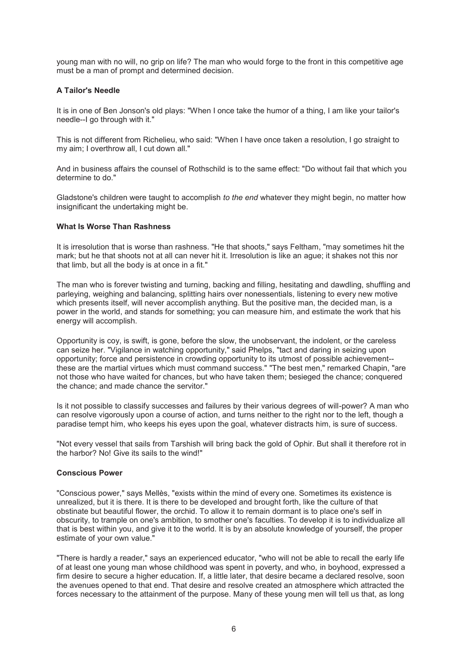young man with no will, no grip on life? The man who would forge to the front in this competitive age must be a man of prompt and determined decision.

# **A Tailor's Needle**

It is in one of Ben Jonson's old plays: "When I once take the humor of a thing, I am like your tailor's needle--I go through with it."

This is not different from Richelieu, who said: "When I have once taken a resolution, I go straight to my aim; I overthrow all, I cut down all."

And in business affairs the counsel of Rothschild is to the same effect: "Do without fail that which you determine to do."

Gladstone's children were taught to accomplish *to the end* whatever they might begin, no matter how insignificant the undertaking might be.

#### **What Is Worse Than Rashness**

It is irresolution that is worse than rashness. "He that shoots," says Feltham, "may sometimes hit the mark; but he that shoots not at all can never hit it. Irresolution is like an ague; it shakes not this nor that limb, but all the body is at once in a fit."

The man who is forever twisting and turning, backing and filling, hesitating and dawdling, shuffling and parleying, weighing and balancing, splitting hairs over nonessentials, listening to every new motive which presents itself, will never accomplish anything. But the positive man, the decided man, is a power in the world, and stands for something; you can measure him, and estimate the work that his energy will accomplish.

Opportunity is coy, is swift, is gone, before the slow, the unobservant, the indolent, or the careless can seize her. "Vigilance in watching opportunity," said Phelps, "tact and daring in seizing upon opportunity; force and persistence in crowding opportunity to its utmost of possible achievement- these are the martial virtues which must command success." "The best men," remarked Chapin, "are not those who have waited for chances, but who have taken them; besieged the chance; conquered the chance; and made chance the servitor."

Is it not possible to classify successes and failures by their various degrees of will-power? A man who can resolve vigorously upon a course of action, and turns neither to the right nor to the left, though a paradise tempt him, who keeps his eyes upon the goal, whatever distracts him, is sure of success.

"Not every vessel that sails from Tarshish will bring back the gold of Ophir. But shall it therefore rot in the harbor? No! Give its sails to the wind!"

# **Conscious Power**

"Conscious power," says Mellès, "exists within the mind of every one. Sometimes its existence is unrealized, but it is there. It is there to be developed and brought forth, like the culture of that obstinate but beautiful flower, the orchid. To allow it to remain dormant is to place one's self in obscurity, to trample on one's ambition, to smother one's faculties. To develop it is to individualize all that is best within you, and give it to the world. It is by an absolute knowledge of yourself, the proper estimate of your own value."

"There is hardly a reader," says an experienced educator, "who will not be able to recall the early life of at least one young man whose childhood was spent in poverty, and who, in boyhood, expressed a firm desire to secure a higher education. If, a little later, that desire became a declared resolve, soon the avenues opened to that end. That desire and resolve created an atmosphere which attracted the forces necessary to the attainment of the purpose. Many of these young men will tell us that, as long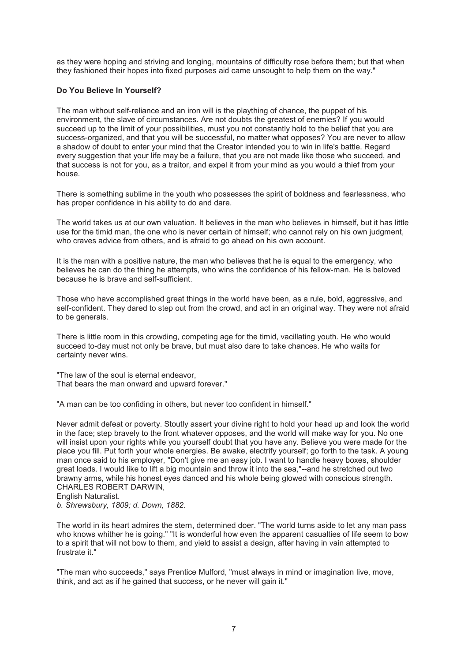as they were hoping and striving and longing, mountains of difficulty rose before them; but that when they fashioned their hopes into fixed purposes aid came unsought to help them on the way."

# **Do You Believe In Yourself?**

The man without self-reliance and an iron will is the plaything of chance, the puppet of his environment, the slave of circumstances. Are not doubts the greatest of enemies? If you would succeed up to the limit of your possibilities, must you not constantly hold to the belief that you are success-organized, and that you will be successful, no matter what opposes? You are never to allow a shadow of doubt to enter your mind that the Creator intended you to win in life's battle. Regard every suggestion that your life may be a failure, that you are not made like those who succeed, and that success is not for you, as a traitor, and expel it from your mind as you would a thief from your house.

There is something sublime in the youth who possesses the spirit of boldness and fearlessness, who has proper confidence in his ability to do and dare.

The world takes us at our own valuation. It believes in the man who believes in himself, but it has little use for the timid man, the one who is never certain of himself; who cannot rely on his own judgment, who craves advice from others, and is afraid to go ahead on his own account.

It is the man with a positive nature, the man who believes that he is equal to the emergency, who believes he can do the thing he attempts, who wins the confidence of his fellow-man. He is beloved because he is brave and self-sufficient.

Those who have accomplished great things in the world have been, as a rule, bold, aggressive, and self-confident. They dared to step out from the crowd, and act in an original way. They were not afraid to be generals.

There is little room in this crowding, competing age for the timid, vacillating youth. He who would succeed to-day must not only be brave, but must also dare to take chances. He who waits for certainty never wins.

"The law of the soul is eternal endeavor, That bears the man onward and upward forever."

"A man can be too confiding in others, but never too confident in himself."

Never admit defeat or poverty. Stoutly assert your divine right to hold your head up and look the world in the face; step bravely to the front whatever opposes, and the world will make way for you. No one will insist upon your rights while you yourself doubt that you have any. Believe you were made for the place you fill. Put forth your whole energies. Be awake, electrify yourself; go forth to the task. A young man once said to his employer. "Don't give me an easy job. I want to handle heavy boxes, shoulder great loads. I would like to lift a big mountain and throw it into the sea,"--and he stretched out two brawny arms, while his honest eyes danced and his whole being glowed with conscious strength. CHARLES ROBERT DARWIN, English Naturalist.

*b. Shrewsbury, 1809; d. Down, 1882*.

The world in its heart admires the stern, determined doer. "The world turns aside to let any man pass who knows whither he is going." "It is wonderful how even the apparent casualties of life seem to bow to a spirit that will not bow to them, and yield to assist a design, after having in vain attempted to frustrate it."

"The man who succeeds," says Prentice Mulford, "must always in mind or imagination live, move, think, and act as if he gained that success, or he never will gain it."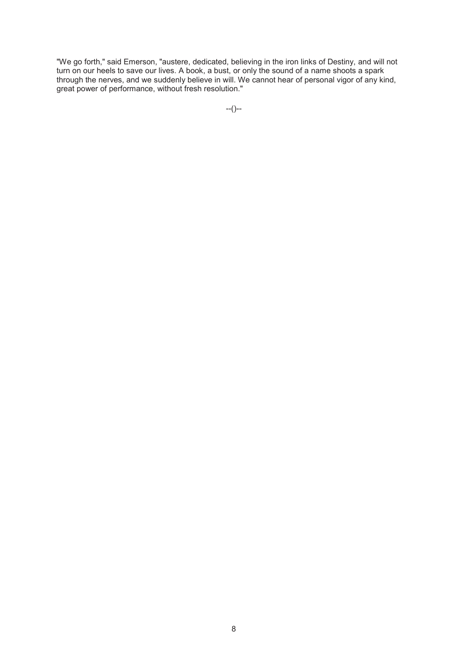"We go forth," said Emerson, "austere, dedicated, believing in the iron links of Destiny, and will not turn on our heels to save our lives. A book, a bust, or only the sound of a name shoots a spark through the nerves, and we suddenly believe in will. We cannot hear of personal vigor of any kind, great power of performance, without fresh resolution."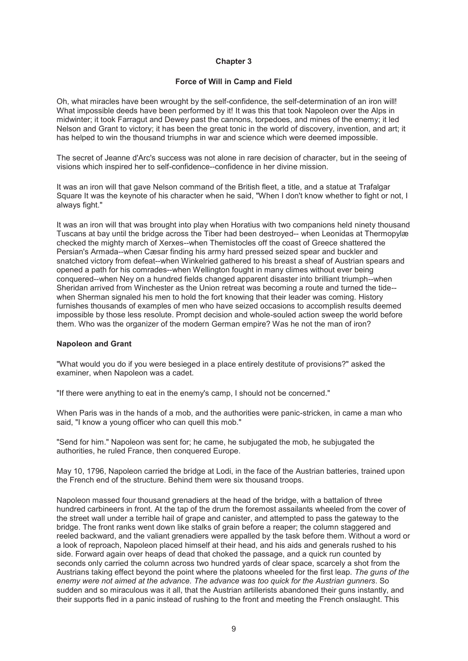## **Force of Will in Camp and Field**

Oh, what miracles have been wrought by the self-confidence, the self-determination of an iron will! What impossible deeds have been performed by it! It was this that took Napoleon over the Alps in midwinter; it took Farragut and Dewey past the cannons, torpedoes, and mines of the enemy; it led Nelson and Grant to victory; it has been the great tonic in the world of discovery, invention, and art; it has helped to win the thousand triumphs in war and science which were deemed impossible.

The secret of Jeanne d'Arc's success was not alone in rare decision of character, but in the seeing of visions which inspired her to self-confidence--confidence in her divine mission.

It was an iron will that gave Nelson command of the British fleet, a title, and a statue at Trafalgar Square It was the keynote of his character when he said, "When I don't know whether to fight or not, I always fight."

It was an iron will that was brought into play when Horatius with two companions held ninety thousand Tuscans at bay until the bridge across the Tiber had been destroyed-- when Leonidas at Thermopylæ checked the mighty march of Xerxes--when Themistocles off the coast of Greece shattered the Persian's Armada--when Cæsar finding his army hard pressed seized spear and buckler and snatched victory from defeat--when Winkelried gathered to his breast a sheaf of Austrian spears and opened a path for his comrades--when Wellington fought in many climes without ever being conquered--when Ney on a hundred fields changed apparent disaster into brilliant triumph--when Sheridan arrived from Winchester as the Union retreat was becoming a route and turned the tide- when Sherman signaled his men to hold the fort knowing that their leader was coming. History furnishes thousands of examples of men who have seized occasions to accomplish results deemed impossible by those less resolute. Prompt decision and whole-souled action sweep the world before them. Who was the organizer of the modern German empire? Was he not the man of iron?

#### **Napoleon and Grant**

"What would you do if you were besieged in a place entirely destitute of provisions?" asked the examiner, when Napoleon was a cadet.

"If there were anything to eat in the enemy's camp, I should not be concerned."

When Paris was in the hands of a mob, and the authorities were panic-stricken, in came a man who said, "I know a young officer who can quell this mob."

"Send for him." Napoleon was sent for; he came, he subjugated the mob, he subjugated the authorities, he ruled France, then conquered Europe.

May 10, 1796, Napoleon carried the bridge at Lodi, in the face of the Austrian batteries, trained upon the French end of the structure. Behind them were six thousand troops.

Napoleon massed four thousand grenadiers at the head of the bridge, with a battalion of three hundred carbineers in front. At the tap of the drum the foremost assailants wheeled from the cover of the street wall under a terrible hail of grape and canister, and attempted to pass the gateway to the bridge. The front ranks went down like stalks of grain before a reaper; the column staggered and reeled backward, and the valiant grenadiers were appalled by the task before them. Without a word or a look of reproach, Napoleon placed himself at their head, and his aids and generals rushed to his side. Forward again over heaps of dead that choked the passage, and a quick run counted by seconds only carried the column across two hundred yards of clear space, scarcely a shot from the Austrians taking effect beyond the point where the platoons wheeled for the first leap. *The guns of the enemy were not aimed at the advance. The advance was too quick for the Austrian gunners*. So sudden and so miraculous was it all, that the Austrian artillerists abandoned their guns instantly, and their supports fled in a panic instead of rushing to the front and meeting the French onslaught. This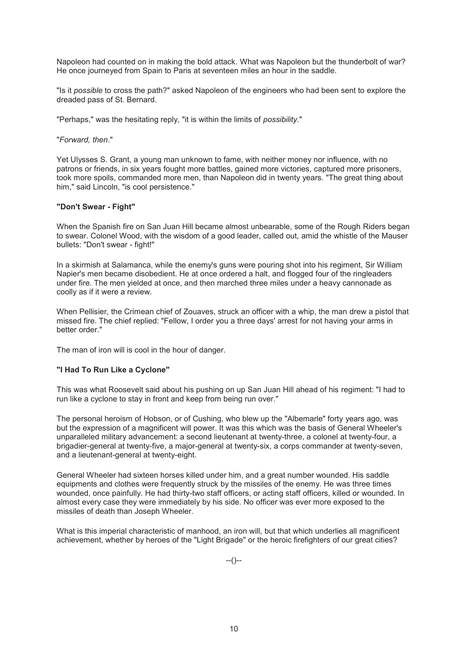Napoleon had counted on in making the bold attack. What was Napoleon but the thunderbolt of war? He once journeyed from Spain to Paris at seventeen miles an hour in the saddle.

"Is it *possible* to cross the path?" asked Napoleon of the engineers who had been sent to explore the dreaded pass of St. Bernard.

"Perhaps," was the hesitating reply, "it is within the limits of *possibility*."

"*Forward, then*."

Yet Ulysses S. Grant, a young man unknown to fame, with neither money nor influence, with no patrons or friends, in six years fought more battles, gained more victories, captured more prisoners, took more spoils, commanded more men, than Napoleon did in twenty years. "The great thing about him," said Lincoln, "is cool persistence."

#### **"Don't Swear - Fight"**

When the Spanish fire on San Juan Hill became almost unbearable, some of the Rough Riders began to swear. Colonel Wood, with the wisdom of a good leader, called out, amid the whistle of the Mauser bullets: "Don't swear - fight!"

In a skirmish at Salamanca, while the enemy's guns were pouring shot into his regiment, Sir William Napier's men became disobedient. He at once ordered a halt, and flogged four of the ringleaders under fire. The men yielded at once, and then marched three miles under a heavy cannonade as coolly as if it were a review.

When Pellisier, the Crimean chief of Zouaves, struck an officer with a whip, the man drew a pistol that missed fire. The chief replied: "Fellow, I order you a three days' arrest for not having your arms in better order."

The man of iron will is cool in the hour of danger.

#### **"I Had To Run Like a Cyclone"**

This was what Roosevelt said about his pushing on up San Juan Hill ahead of his regiment: "I had to run like a cyclone to stay in front and keep from being run over."

The personal heroism of Hobson, or of Cushing, who blew up the "Albemarle" forty years ago, was but the expression of a magnificent will power. It was this which was the basis of General Wheeler's unparalleled military advancement: a second lieutenant at twenty-three, a colonel at twenty-four, a brigadier-general at twenty-five, a major-general at twenty-six, a corps commander at twenty-seven, and a lieutenant-general at twenty-eight.

General Wheeler had sixteen horses killed under him, and a great number wounded. His saddle equipments and clothes were frequently struck by the missiles of the enemy. He was three times wounded, once painfully. He had thirty-two staff officers, or acting staff officers, killed or wounded. In almost every case they were immediately by his side. No officer was ever more exposed to the missiles of death than Joseph Wheeler.

What is this imperial characteristic of manhood, an iron will, but that which underlies all magnificent achievement, whether by heroes of the "Light Brigade" or the heroic firefighters of our great cities?

--()--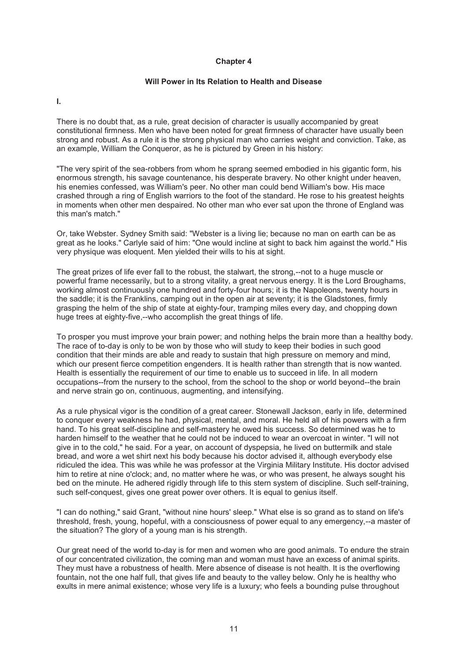# **Will Power in Its Relation to Health and Disease**

**I.** 

There is no doubt that, as a rule, great decision of character is usually accompanied by great constitutional firmness. Men who have been noted for great firmness of character have usually been strong and robust. As a rule it is the strong physical man who carries weight and conviction. Take, as an example, William the Conqueror, as he is pictured by Green in his history:

"The very spirit of the sea-robbers from whom he sprang seemed embodied in his gigantic form, his enormous strength, his savage countenance, his desperate bravery. No other knight under heaven, his enemies confessed, was William's peer. No other man could bend William's bow. His mace crashed through a ring of English warriors to the foot of the standard. He rose to his greatest heights in moments when other men despaired. No other man who ever sat upon the throne of England was this man's match."

Or, take Webster. Sydney Smith said: "Webster is a living lie; because no man on earth can be as great as he looks." Carlyle said of him: "One would incline at sight to back him against the world." His very physique was eloquent. Men yielded their wills to his at sight.

The great prizes of life ever fall to the robust, the stalwart, the strong,--not to a huge muscle or powerful frame necessarily, but to a strong vitality, a great nervous energy. It is the Lord Broughams, working almost continuously one hundred and forty-four hours; it is the Napoleons, twenty hours in the saddle; it is the Franklins, camping out in the open air at seventy; it is the Gladstones, firmly grasping the helm of the ship of state at eighty-four, tramping miles every day, and chopping down huge trees at eighty-five,--who accomplish the great things of life.

To prosper you must improve your brain power; and nothing helps the brain more than a healthy body. The race of to-day is only to be won by those who will study to keep their bodies in such good condition that their minds are able and ready to sustain that high pressure on memory and mind, which our present fierce competition engenders. It is health rather than strength that is now wanted. Health is essentially the requirement of our time to enable us to succeed in life. In all modern occupations--from the nursery to the school, from the school to the shop or world beyond--the brain and nerve strain go on, continuous, augmenting, and intensifying.

As a rule physical vigor is the condition of a great career. Stonewall Jackson, early in life, determined to conquer every weakness he had, physical, mental, and moral. He held all of his powers with a firm hand. To his great self-discipline and self-mastery he owed his success. So determined was he to harden himself to the weather that he could not be induced to wear an overcoat in winter. "I will not give in to the cold," he said. For a year, on account of dyspepsia, he lived on buttermilk and stale bread, and wore a wet shirt next his body because his doctor advised it, although everybody else ridiculed the idea. This was while he was professor at the Virginia Military Institute. His doctor advised him to retire at nine o'clock; and, no matter where he was, or who was present, he always sought his bed on the minute. He adhered rigidly through life to this stern system of discipline. Such self-training, such self-conquest, gives one great power over others. It is equal to genius itself.

"I can do nothing," said Grant, "without nine hours' sleep." What else is so grand as to stand on life's threshold, fresh, young, hopeful, with a consciousness of power equal to any emergency,--a master of the situation? The glory of a young man is his strength.

Our great need of the world to-day is for men and women who are good animals. To endure the strain of our concentrated civilization, the coming man and woman must have an excess of animal spirits. They must have a robustness of health. Mere absence of disease is not health. It is the overflowing fountain, not the one half full, that gives life and beauty to the valley below. Only he is healthy who exults in mere animal existence; whose very life is a luxury; who feels a bounding pulse throughout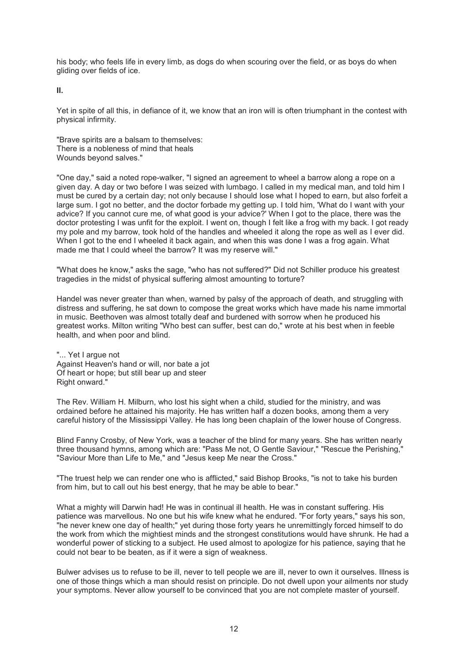his body; who feels life in every limb, as dogs do when scouring over the field, or as boys do when gliding over fields of ice.

**II.** 

Yet in spite of all this, in defiance of it, we know that an iron will is often triumphant in the contest with physical infirmity.

"Brave spirits are a balsam to themselves: There is a nobleness of mind that heals Wounds beyond salves."

"One day," said a noted rope-walker, "I signed an agreement to wheel a barrow along a rope on a given day. A day or two before I was seized with lumbago. I called in my medical man, and told him I must be cured by a certain day; not only because I should lose what I hoped to earn, but also forfeit a large sum. I got no better, and the doctor forbade my getting up. I told him, 'What do I want with your advice? If you cannot cure me, of what good is your advice?' When I got to the place, there was the doctor protesting I was unfit for the exploit. I went on, though I felt like a frog with my back. I got ready my pole and my barrow, took hold of the handles and wheeled it along the rope as well as I ever did. When I got to the end I wheeled it back again, and when this was done I was a frog again. What made me that I could wheel the barrow? It was my reserve will."

"What does he know," asks the sage, "who has not suffered?" Did not Schiller produce his greatest tragedies in the midst of physical suffering almost amounting to torture?

Handel was never greater than when, warned by palsy of the approach of death, and struggling with distress and suffering, he sat down to compose the great works which have made his name immortal in music. Beethoven was almost totally deaf and burdened with sorrow when he produced his greatest works. Milton writing "Who best can suffer, best can do," wrote at his best when in feeble health, and when poor and blind.

"... Yet I argue not Against Heaven's hand or will, nor bate a jot Of heart or hope; but still bear up and steer Right onward."

The Rev. William H. Milburn, who lost his sight when a child, studied for the ministry, and was ordained before he attained his majority. He has written half a dozen books, among them a very careful history of the Mississippi Valley. He has long been chaplain of the lower house of Congress.

Blind Fanny Crosby, of New York, was a teacher of the blind for many years. She has written nearly three thousand hymns, among which are: "Pass Me not, O Gentle Saviour," "Rescue the Perishing," "Saviour More than Life to Me," and "Jesus keep Me near the Cross."

"The truest help we can render one who is afflicted," said Bishop Brooks, "is not to take his burden from him, but to call out his best energy, that he may be able to bear."

What a mighty will Darwin had! He was in continual ill health. He was in constant suffering. His patience was marvellous. No one but his wife knew what he endured. "For forty years," says his son, "he never knew one day of health;" yet during those forty years he unremittingly forced himself to do the work from which the mightiest minds and the strongest constitutions would have shrunk. He had a wonderful power of sticking to a subject. He used almost to apologize for his patience, saying that he could not bear to be beaten, as if it were a sign of weakness.

Bulwer advises us to refuse to be ill, never to tell people we are ill, never to own it ourselves. Illness is one of those things which a man should resist on principle. Do not dwell upon your ailments nor study your symptoms. Never allow yourself to be convinced that you are not complete master of yourself.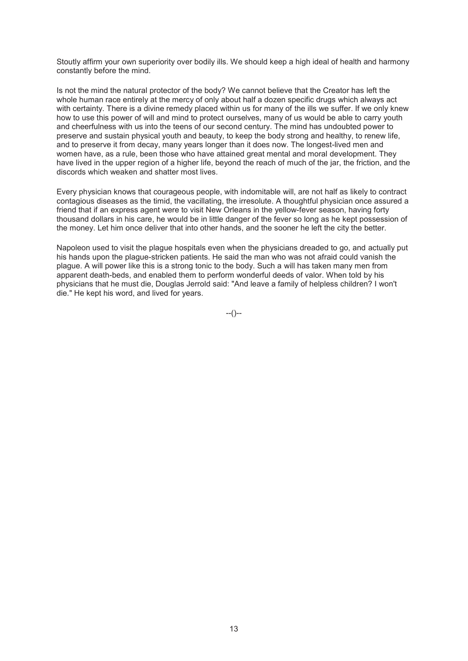Stoutly affirm your own superiority over bodily ills. We should keep a high ideal of health and harmony constantly before the mind.

Is not the mind the natural protector of the body? We cannot believe that the Creator has left the whole human race entirely at the mercy of only about half a dozen specific drugs which always act with certainty. There is a divine remedy placed within us for many of the ills we suffer. If we only knew how to use this power of will and mind to protect ourselves, many of us would be able to carry youth and cheerfulness with us into the teens of our second century. The mind has undoubted power to preserve and sustain physical youth and beauty, to keep the body strong and healthy, to renew life, and to preserve it from decay, many years longer than it does now. The longest-lived men and women have, as a rule, been those who have attained great mental and moral development. They have lived in the upper region of a higher life, beyond the reach of much of the jar, the friction, and the discords which weaken and shatter most lives.

Every physician knows that courageous people, with indomitable will, are not half as likely to contract contagious diseases as the timid, the vacillating, the irresolute. A thoughtful physician once assured a friend that if an express agent were to visit New Orleans in the yellow-fever season, having forty thousand dollars in his care, he would be in little danger of the fever so long as he kept possession of the money. Let him once deliver that into other hands, and the sooner he left the city the better.

Napoleon used to visit the plague hospitals even when the physicians dreaded to go, and actually put his hands upon the plague-stricken patients. He said the man who was not afraid could vanish the plague. A will power like this is a strong tonic to the body. Such a will has taken many men from apparent death-beds, and enabled them to perform wonderful deeds of valor. When told by his physicians that he must die, Douglas Jerrold said: "And leave a family of helpless children? I won't die." He kept his word, and lived for years.

 $-(-)$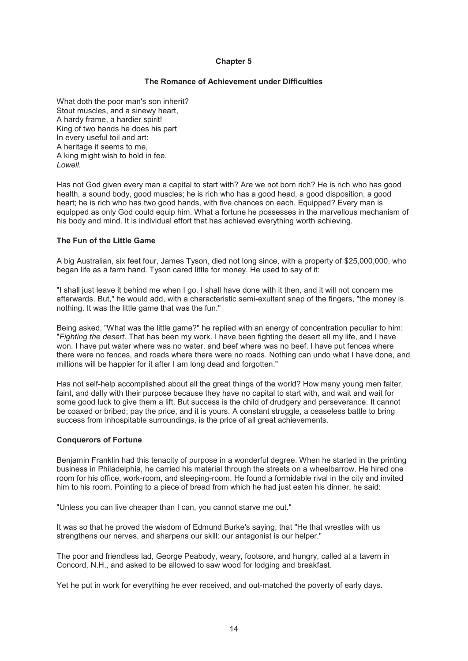# **The Romance of Achievement under Difficulties**

What doth the poor man's son inherit? Stout muscles, and a sinewy heart, A hardy frame, a hardier spirit! King of two hands he does his part In every useful toil and art: A heritage it seems to me, A king might wish to hold in fee. *Lowell*.

Has not God given every man a capital to start with? Are we not born rich? He is rich who has good health, a sound body, good muscles; he is rich who has a good head, a good disposition, a good heart; he is rich who has two good hands, with five chances on each. Equipped? Every man is equipped as only God could equip him. What a fortune he possesses in the marvellous mechanism of his body and mind. It is individual effort that has achieved everything worth achieving.

# **The Fun of the Little Game**

A big Australian, six feet four, James Tyson, died not long since, with a property of \$25,000,000, who began life as a farm hand. Tyson cared little for money. He used to say of it:

"I shall just leave it behind me when I go. I shall have done with it then, and it will not concern me afterwards. But," he would add, with a characteristic semi-exultant snap of the fingers, "the money is nothing. It was the little game that was the fun."

Being asked, "What was the little game?" he replied with an energy of concentration peculiar to him: "*Fighting the desert*. That has been my work. I have been fighting the desert all my life, and I have won. I have put water where was no water, and beef where was no beef. I have put fences where there were no fences, and roads where there were no roads. Nothing can undo what I have done, and millions will be happier for it after I am long dead and forgotten."

Has not self-help accomplished about all the great things of the world? How many young men falter, faint, and dally with their purpose because they have no capital to start with, and wait and wait for some good luck to give them a lift. But success is the child of drudgery and perseverance. It cannot be coaxed or bribed; pay the price, and it is yours. A constant struggle, a ceaseless battle to bring success from inhospitable surroundings, is the price of all great achievements.

#### **Conquerors of Fortune**

Benjamin Franklin had this tenacity of purpose in a wonderful degree. When he started in the printing business in Philadelphia, he carried his material through the streets on a wheelbarrow. He hired one room for his office, work-room, and sleeping-room. He found a formidable rival in the city and invited him to his room. Pointing to a piece of bread from which he had just eaten his dinner, he said:

"Unless you can live cheaper than I can, you cannot starve me out."

It was so that he proved the wisdom of Edmund Burke's saying, that "He that wrestles with us strengthens our nerves, and sharpens our skill: our antagonist is our helper."

The poor and friendless lad, George Peabody, weary, footsore, and hungry, called at a tavern in Concord, N.H., and asked to be allowed to saw wood for lodging and breakfast.

Yet he put in work for everything he ever received, and out-matched the poverty of early days.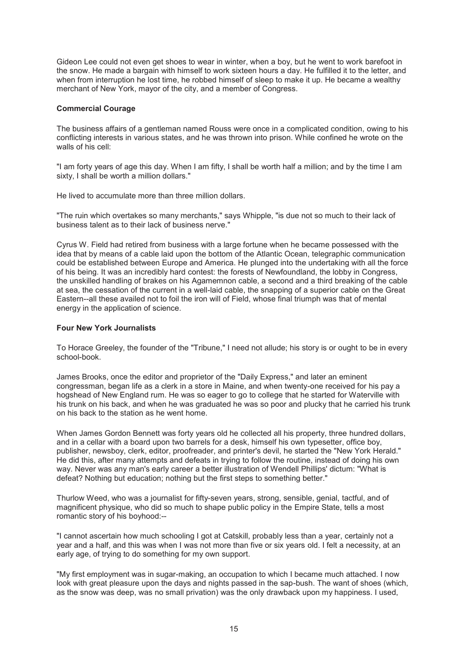Gideon Lee could not even get shoes to wear in winter, when a boy, but he went to work barefoot in the snow. He made a bargain with himself to work sixteen hours a day. He fulfilled it to the letter, and when from interruption he lost time, he robbed himself of sleep to make it up. He became a wealthy merchant of New York, mayor of the city, and a member of Congress.

# **Commercial Courage**

The business affairs of a gentleman named Rouss were once in a complicated condition, owing to his conflicting interests in various states, and he was thrown into prison. While confined he wrote on the walls of his cell:

"I am forty years of age this day. When I am fifty, I shall be worth half a million; and by the time I am sixty, I shall be worth a million dollars."

He lived to accumulate more than three million dollars.

"The ruin which overtakes so many merchants," says Whipple, "is due not so much to their lack of business talent as to their lack of business nerve."

Cyrus W. Field had retired from business with a large fortune when he became possessed with the idea that by means of a cable laid upon the bottom of the Atlantic Ocean, telegraphic communication could be established between Europe and America. He plunged into the undertaking with all the force of his being. It was an incredibly hard contest: the forests of Newfoundland, the lobby in Congress, the unskilled handling of brakes on his Agamemnon cable, a second and a third breaking of the cable at sea, the cessation of the current in a well-laid cable, the snapping of a superior cable on the Great Eastern--all these availed not to foil the iron will of Field, whose final triumph was that of mental energy in the application of science.

### **Four New York Journalists**

To Horace Greeley, the founder of the "Tribune," I need not allude; his story is or ought to be in every school-book.

James Brooks, once the editor and proprietor of the "Daily Express," and later an eminent congressman, began life as a clerk in a store in Maine, and when twenty-one received for his pay a hogshead of New England rum. He was so eager to go to college that he started for Waterville with his trunk on his back, and when he was graduated he was so poor and plucky that he carried his trunk on his back to the station as he went home.

When James Gordon Bennett was forty years old he collected all his property, three hundred dollars, and in a cellar with a board upon two barrels for a desk, himself his own typesetter, office boy, publisher, newsboy, clerk, editor, proofreader, and printer's devil, he started the "New York Herald." He did this, after many attempts and defeats in trying to follow the routine, instead of doing his own way. Never was any man's early career a better illustration of Wendell Phillips' dictum: "What is defeat? Nothing but education; nothing but the first steps to something better."

Thurlow Weed, who was a journalist for fifty-seven years, strong, sensible, genial, tactful, and of magnificent physique, who did so much to shape public policy in the Empire State, tells a most romantic story of his boyhood:--

"I cannot ascertain how much schooling I got at Catskill, probably less than a year, certainly not a year and a half, and this was when I was not more than five or six years old. I felt a necessity, at an early age, of trying to do something for my own support.

"My first employment was in sugar-making, an occupation to which I became much attached. I now look with great pleasure upon the days and nights passed in the sap-bush. The want of shoes (which, as the snow was deep, was no small privation) was the only drawback upon my happiness. I used,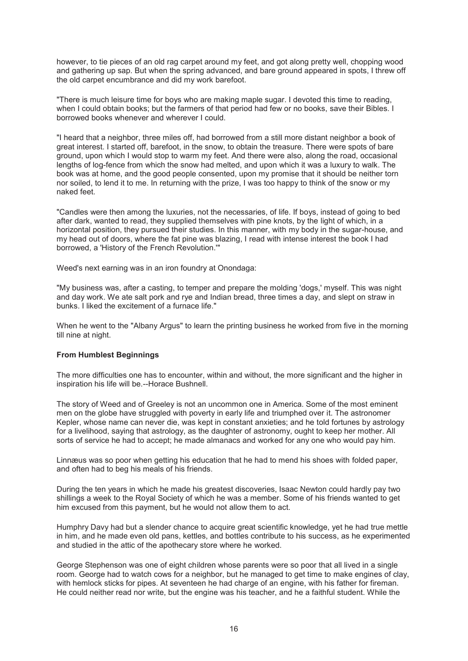however, to tie pieces of an old rag carpet around my feet, and got along pretty well, chopping wood and gathering up sap. But when the spring advanced, and bare ground appeared in spots, I threw off the old carpet encumbrance and did my work barefoot.

"There is much leisure time for boys who are making maple sugar. I devoted this time to reading, when I could obtain books; but the farmers of that period had few or no books, save their Bibles. I borrowed books whenever and wherever I could.

"I heard that a neighbor, three miles off, had borrowed from a still more distant neighbor a book of great interest. I started off, barefoot, in the snow, to obtain the treasure. There were spots of bare ground, upon which I would stop to warm my feet. And there were also, along the road, occasional lengths of log-fence from which the snow had melted, and upon which it was a luxury to walk. The book was at home, and the good people consented, upon my promise that it should be neither torn nor soiled, to lend it to me. In returning with the prize, I was too happy to think of the snow or my naked feet.

"Candles were then among the luxuries, not the necessaries, of life. If boys, instead of going to bed after dark, wanted to read, they supplied themselves with pine knots, by the light of which, in a horizontal position, they pursued their studies. In this manner, with my body in the sugar-house, and my head out of doors, where the fat pine was blazing, I read with intense interest the book I had borrowed, a 'History of the French Revolution.'"

Weed's next earning was in an iron foundry at Onondaga:

"My business was, after a casting, to temper and prepare the molding 'dogs,' myself. This was night and day work. We ate salt pork and rye and Indian bread, three times a day, and slept on straw in bunks. I liked the excitement of a furnace life."

When he went to the "Albany Argus" to learn the printing business he worked from five in the morning till nine at night.

#### **From Humblest Beginnings**

The more difficulties one has to encounter, within and without, the more significant and the higher in inspiration his life will be.--Horace Bushnell.

The story of Weed and of Greeley is not an uncommon one in America. Some of the most eminent men on the globe have struggled with poverty in early life and triumphed over it. The astronomer Kepler, whose name can never die, was kept in constant anxieties; and he told fortunes by astrology for a livelihood, saying that astrology, as the daughter of astronomy, ought to keep her mother. All sorts of service he had to accept; he made almanacs and worked for any one who would pay him.

Linnæus was so poor when getting his education that he had to mend his shoes with folded paper, and often had to beg his meals of his friends.

During the ten years in which he made his greatest discoveries, Isaac Newton could hardly pay two shillings a week to the Royal Society of which he was a member. Some of his friends wanted to get him excused from this payment, but he would not allow them to act.

Humphry Davy had but a slender chance to acquire great scientific knowledge, yet he had true mettle in him, and he made even old pans, kettles, and bottles contribute to his success, as he experimented and studied in the attic of the apothecary store where he worked.

George Stephenson was one of eight children whose parents were so poor that all lived in a single room. George had to watch cows for a neighbor, but he managed to get time to make engines of clay, with hemlock sticks for pipes. At seventeen he had charge of an engine, with his father for fireman. He could neither read nor write, but the engine was his teacher, and he a faithful student. While the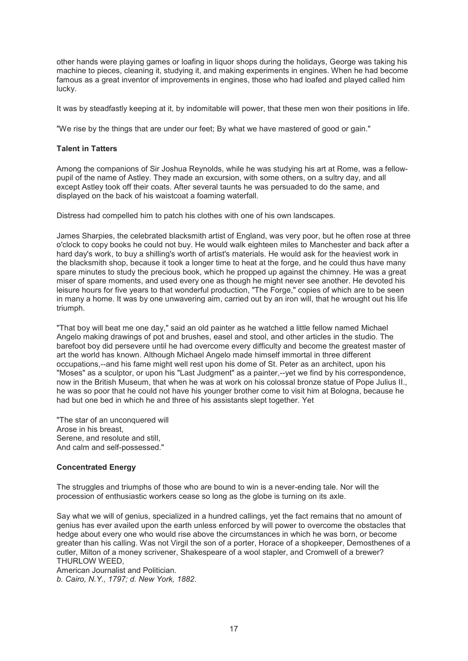other hands were playing games or loafing in liquor shops during the holidays, George was taking his machine to pieces, cleaning it, studying it, and making experiments in engines. When he had become famous as a great inventor of improvements in engines, those who had loafed and played called him lucky.

It was by steadfastly keeping at it, by indomitable will power, that these men won their positions in life.

"We rise by the things that are under our feet; By what we have mastered of good or gain."

# **Talent in Tatters**

Among the companions of Sir Joshua Reynolds, while he was studying his art at Rome, was a fellowpupil of the name of Astley. They made an excursion, with some others, on a sultry day, and all except Astley took off their coats. After several taunts he was persuaded to do the same, and displayed on the back of his waistcoat a foaming waterfall.

Distress had compelled him to patch his clothes with one of his own landscapes.

James Sharpies, the celebrated blacksmith artist of England, was very poor, but he often rose at three o'clock to copy books he could not buy. He would walk eighteen miles to Manchester and back after a hard day's work, to buy a shilling's worth of artist's materials. He would ask for the heaviest work in the blacksmith shop, because it took a longer time to heat at the forge, and he could thus have many spare minutes to study the precious book, which he propped up against the chimney. He was a great miser of spare moments, and used every one as though he might never see another. He devoted his leisure hours for five years to that wonderful production, "The Forge," copies of which are to be seen in many a home. It was by one unwavering aim, carried out by an iron will, that he wrought out his life triumph.

"That boy will beat me one day," said an old painter as he watched a little fellow named Michael Angelo making drawings of pot and brushes, easel and stool, and other articles in the studio. The barefoot boy did persevere until he had overcome every difficulty and become the greatest master of art the world has known. Although Michael Angelo made himself immortal in three different occupations,--and his fame might well rest upon his dome of St. Peter as an architect, upon his "Moses" as a sculptor, or upon his "Last Judgment" as a painter,--yet we find by his correspondence, now in the British Museum, that when he was at work on his colossal bronze statue of Pope Julius II., he was so poor that he could not have his younger brother come to visit him at Bologna, because he had but one bed in which he and three of his assistants slept together. Yet

"The star of an unconquered will Arose in his breast, Serene, and resolute and still, And calm and self-possessed."

# **Concentrated Energy**

The struggles and triumphs of those who are bound to win is a never-ending tale. Nor will the procession of enthusiastic workers cease so long as the globe is turning on its axle.

Say what we will of genius, specialized in a hundred callings, yet the fact remains that no amount of genius has ever availed upon the earth unless enforced by will power to overcome the obstacles that hedge about every one who would rise above the circumstances in which he was born, or become greater than his calling. Was not Virgil the son of a porter, Horace of a shopkeeper, Demosthenes of a cutler, Milton of a money scrivener, Shakespeare of a wool stapler, and Cromwell of a brewer? THURLOW WEED,

American Journalist and Politician. *b. Cairo, N.Y., 1797; d. New York, 1882*.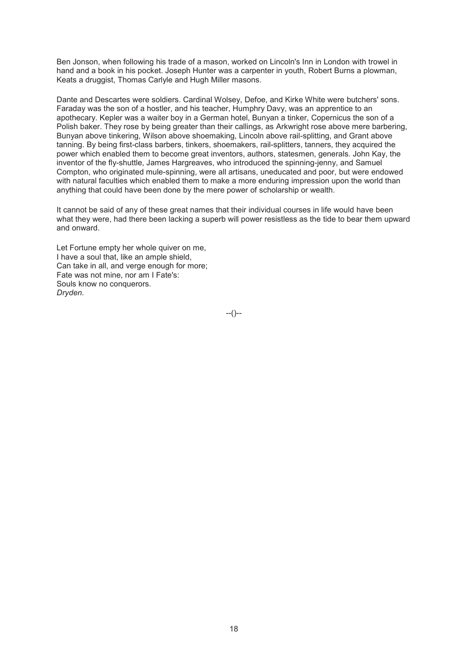Ben Jonson, when following his trade of a mason, worked on Lincoln's Inn in London with trowel in hand and a book in his pocket. Joseph Hunter was a carpenter in youth, Robert Burns a plowman, Keats a druggist, Thomas Carlyle and Hugh Miller masons.

Dante and Descartes were soldiers. Cardinal Wolsey, Defoe, and Kirke White were butchers' sons. Faraday was the son of a hostler, and his teacher, Humphry Davy, was an apprentice to an apothecary. Kepler was a waiter boy in a German hotel, Bunyan a tinker, Copernicus the son of a Polish baker. They rose by being greater than their callings, as Arkwright rose above mere barbering, Bunyan above tinkering, Wilson above shoemaking, Lincoln above rail-splitting, and Grant above tanning. By being first-class barbers, tinkers, shoemakers, rail-splitters, tanners, they acquired the power which enabled them to become great inventors, authors, statesmen, generals. John Kay, the inventor of the fly-shuttle, James Hargreaves, who introduced the spinning-jenny, and Samuel Compton, who originated mule-spinning, were all artisans, uneducated and poor, but were endowed with natural faculties which enabled them to make a more enduring impression upon the world than anything that could have been done by the mere power of scholarship or wealth.

It cannot be said of any of these great names that their individual courses in life would have been what they were, had there been lacking a superb will power resistless as the tide to bear them upward and onward.

Let Fortune empty her whole quiver on me, I have a soul that, like an ample shield, Can take in all, and verge enough for more; Fate was not mine, nor am I Fate's: Souls know no conquerors. *Dryden*.

--()--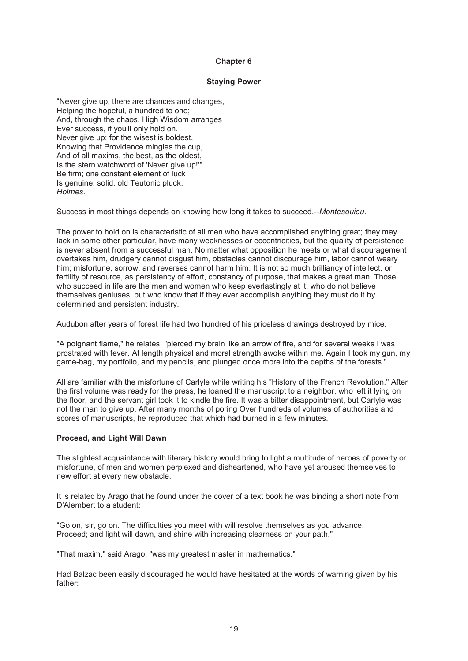### **Staying Power**

"Never give up, there are chances and changes, Helping the hopeful, a hundred to one; And, through the chaos, High Wisdom arranges Ever success, if you'll only hold on. Never give up; for the wisest is boldest, Knowing that Providence mingles the cup, And of all maxims, the best, as the oldest, Is the stern watchword of 'Never give up!'" Be firm; one constant element of luck Is genuine, solid, old Teutonic pluck. *Holmes*.

Success in most things depends on knowing how long it takes to succeed.--*Montesquieu*.

The power to hold on is characteristic of all men who have accomplished anything great; they may lack in some other particular, have many weaknesses or eccentricities, but the quality of persistence is never absent from a successful man. No matter what opposition he meets or what discouragement overtakes him, drudgery cannot disgust him, obstacles cannot discourage him, labor cannot weary him; misfortune, sorrow, and reverses cannot harm him. It is not so much brilliancy of intellect, or fertility of resource, as persistency of effort, constancy of purpose, that makes a great man. Those who succeed in life are the men and women who keep everlastingly at it, who do not believe themselves geniuses, but who know that if they ever accomplish anything they must do it by determined and persistent industry.

Audubon after years of forest life had two hundred of his priceless drawings destroyed by mice.

"A poignant flame," he relates, "pierced my brain like an arrow of fire, and for several weeks I was prostrated with fever. At length physical and moral strength awoke within me. Again I took my gun, my game-bag, my portfolio, and my pencils, and plunged once more into the depths of the forests."

All are familiar with the misfortune of Carlyle while writing his "History of the French Revolution." After the first volume was ready for the press, he loaned the manuscript to a neighbor, who left it lying on the floor, and the servant girl took it to kindle the fire. It was a bitter disappointment, but Carlyle was not the man to give up. After many months of poring Over hundreds of volumes of authorities and scores of manuscripts, he reproduced that which had burned in a few minutes.

#### **Proceed, and Light Will Dawn**

The slightest acquaintance with literary history would bring to light a multitude of heroes of poverty or misfortune, of men and women perplexed and disheartened, who have yet aroused themselves to new effort at every new obstacle.

It is related by Arago that he found under the cover of a text book he was binding a short note from D'Alembert to a student:

"Go on, sir, go on. The difficulties you meet with will resolve themselves as you advance. Proceed; and light will dawn, and shine with increasing clearness on your path."

"That maxim," said Arago, "was my greatest master in mathematics."

Had Balzac been easily discouraged he would have hesitated at the words of warning given by his father: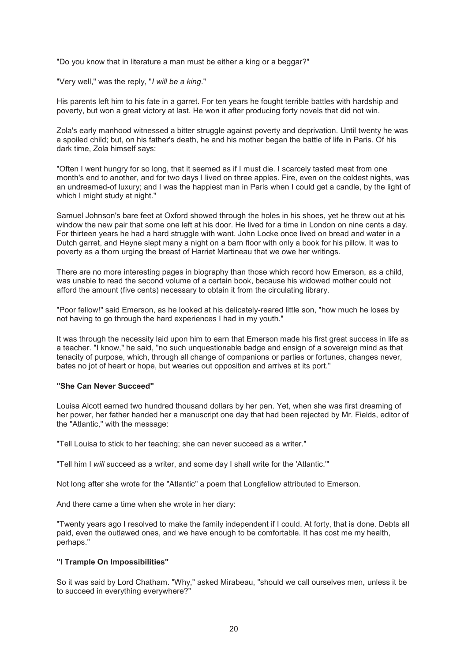"Do you know that in literature a man must be either a king or a beggar?"

"Very well," was the reply, "*I will be a king*."

His parents left him to his fate in a garret. For ten years he fought terrible battles with hardship and poverty, but won a great victory at last. He won it after producing forty novels that did not win.

Zola's early manhood witnessed a bitter struggle against poverty and deprivation. Until twenty he was a spoiled child; but, on his father's death, he and his mother began the battle of life in Paris. Of his dark time, Zola himself says:

"Often I went hungry for so long, that it seemed as if I must die. I scarcely tasted meat from one month's end to another, and for two days I lived on three apples. Fire, even on the coldest nights, was an undreamed-of luxury; and I was the happiest man in Paris when I could get a candle, by the light of which I might study at night."

Samuel Johnson's bare feet at Oxford showed through the holes in his shoes, yet he threw out at his window the new pair that some one left at his door. He lived for a time in London on nine cents a day. For thirteen years he had a hard struggle with want. John Locke once lived on bread and water in a Dutch garret, and Heyne slept many a night on a barn floor with only a book for his pillow. It was to poverty as a thorn urging the breast of Harriet Martineau that we owe her writings.

There are no more interesting pages in biography than those which record how Emerson, as a child, was unable to read the second volume of a certain book, because his widowed mother could not afford the amount (five cents) necessary to obtain it from the circulating library.

"Poor fellow!" said Emerson, as he looked at his delicately-reared little son, "how much he loses by not having to go through the hard experiences I had in my youth."

It was through the necessity laid upon him to earn that Emerson made his first great success in life as a teacher. "I know," he said, "no such unquestionable badge and ensign of a sovereign mind as that tenacity of purpose, which, through all change of companions or parties or fortunes, changes never, bates no jot of heart or hope, but wearies out opposition and arrives at its port."

#### **"She Can Never Succeed"**

Louisa Alcott earned two hundred thousand dollars by her pen. Yet, when she was first dreaming of her power, her father handed her a manuscript one day that had been rejected by Mr. Fields, editor of the "Atlantic," with the message:

"Tell Louisa to stick to her teaching; she can never succeed as a writer."

"Tell him I *will* succeed as a writer, and some day I shall write for the 'Atlantic.'"

Not long after she wrote for the "Atlantic" a poem that Longfellow attributed to Emerson.

And there came a time when she wrote in her diary:

"Twenty years ago I resolved to make the family independent if I could. At forty, that is done. Debts all paid, even the outlawed ones, and we have enough to be comfortable. It has cost me my health, perhaps."

# **"I Trample On Impossibilities"**

So it was said by Lord Chatham. "Why," asked Mirabeau, "should we call ourselves men, unless it be to succeed in everything everywhere?"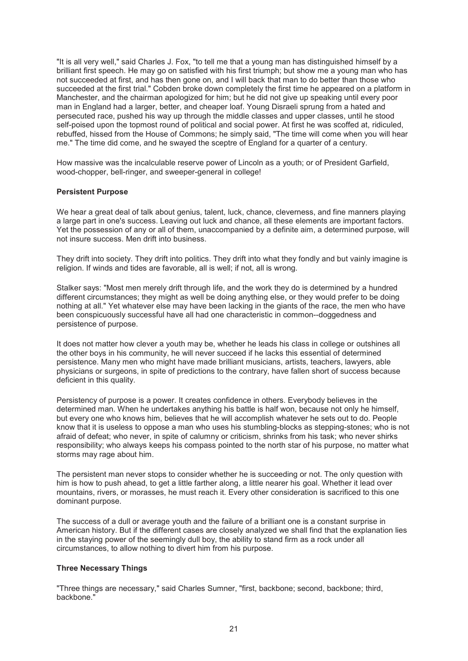"It is all very well," said Charles J. Fox, "to tell me that a young man has distinguished himself by a brilliant first speech. He may go on satisfied with his first triumph; but show me a young man who has not succeeded at first, and has then gone on, and I will back that man to do better than those who succeeded at the first trial." Cobden broke down completely the first time he appeared on a platform in Manchester, and the chairman apologized for him; but he did not give up speaking until every poor man in England had a larger, better, and cheaper loaf. Young Disraeli sprung from a hated and persecuted race, pushed his way up through the middle classes and upper classes, until he stood self-poised upon the topmost round of political and social power. At first he was scoffed at, ridiculed, rebuffed, hissed from the House of Commons; he simply said, "The time will come when you will hear me." The time did come, and he swayed the sceptre of England for a quarter of a century.

How massive was the incalculable reserve power of Lincoln as a youth; or of President Garfield, wood-chopper, bell-ringer, and sweeper-general in college!

# **Persistent Purpose**

We hear a great deal of talk about genius, talent, luck, chance, cleverness, and fine manners playing a large part in one's success. Leaving out luck and chance, all these elements are important factors. Yet the possession of any or all of them, unaccompanied by a definite aim, a determined purpose, will not insure success. Men drift into business.

They drift into society. They drift into politics. They drift into what they fondly and but vainly imagine is religion. If winds and tides are favorable, all is well; if not, all is wrong.

Stalker says: "Most men merely drift through life, and the work they do is determined by a hundred different circumstances; they might as well be doing anything else, or they would prefer to be doing nothing at all." Yet whatever else may have been lacking in the giants of the race, the men who have been conspicuously successful have all had one characteristic in common--doggedness and persistence of purpose.

It does not matter how clever a youth may be, whether he leads his class in college or outshines all the other boys in his community, he will never succeed if he lacks this essential of determined persistence. Many men who might have made brilliant musicians, artists, teachers, lawyers, able physicians or surgeons, in spite of predictions to the contrary, have fallen short of success because deficient in this quality.

Persistency of purpose is a power. It creates confidence in others. Everybody believes in the determined man. When he undertakes anything his battle is half won, because not only he himself, but every one who knows him, believes that he will accomplish whatever he sets out to do. People know that it is useless to oppose a man who uses his stumbling-blocks as stepping-stones; who is not afraid of defeat; who never, in spite of calumny or criticism, shrinks from his task; who never shirks responsibility; who always keeps his compass pointed to the north star of his purpose, no matter what storms may rage about him.

The persistent man never stops to consider whether he is succeeding or not. The only question with him is how to push ahead, to get a little farther along, a little nearer his goal. Whether it lead over mountains, rivers, or morasses, he must reach it. Every other consideration is sacrificed to this one dominant purpose.

The success of a dull or average youth and the failure of a brilliant one is a constant surprise in American history. But if the different cases are closely analyzed we shall find that the explanation lies in the staying power of the seemingly dull boy, the ability to stand firm as a rock under all circumstances, to allow nothing to divert him from his purpose.

#### **Three Necessary Things**

"Three things are necessary," said Charles Sumner, "first, backbone; second, backbone; third, backbone."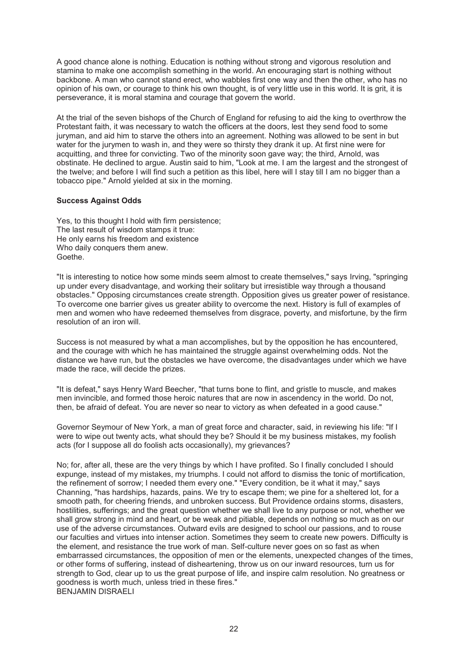A good chance alone is nothing. Education is nothing without strong and vigorous resolution and stamina to make one accomplish something in the world. An encouraging start is nothing without backbone. A man who cannot stand erect, who wabbles first one way and then the other, who has no opinion of his own, or courage to think his own thought, is of very little use in this world. It is grit, it is perseverance, it is moral stamina and courage that govern the world.

At the trial of the seven bishops of the Church of England for refusing to aid the king to overthrow the Protestant faith, it was necessary to watch the officers at the doors, lest they send food to some juryman, and aid him to starve the others into an agreement. Nothing was allowed to be sent in but water for the jurymen to wash in, and they were so thirsty they drank it up. At first nine were for acquitting, and three for convicting. Two of the minority soon gave way; the third, Arnold, was obstinate. He declined to argue. Austin said to him, "Look at me. I am the largest and the strongest of the twelve; and before I will find such a petition as this libel, here will I stay till I am no bigger than a tobacco pipe." Arnold yielded at six in the morning.

# **Success Against Odds**

Yes, to this thought I hold with firm persistence; The last result of wisdom stamps it true: He only earns his freedom and existence Who daily conquers them anew. Goethe.

"It is interesting to notice how some minds seem almost to create themselves," says Irving, "springing up under every disadvantage, and working their solitary but irresistible way through a thousand obstacles." Opposing circumstances create strength. Opposition gives us greater power of resistance. To overcome one barrier gives us greater ability to overcome the next. History is full of examples of men and women who have redeemed themselves from disgrace, poverty, and misfortune, by the firm resolution of an iron will.

Success is not measured by what a man accomplishes, but by the opposition he has encountered, and the courage with which he has maintained the struggle against overwhelming odds. Not the distance we have run, but the obstacles we have overcome, the disadvantages under which we have made the race, will decide the prizes.

"It is defeat," says Henry Ward Beecher, "that turns bone to flint, and gristle to muscle, and makes men invincible, and formed those heroic natures that are now in ascendency in the world. Do not, then, be afraid of defeat. You are never so near to victory as when defeated in a good cause."

Governor Seymour of New York, a man of great force and character, said, in reviewing his life: "If I were to wipe out twenty acts, what should they be? Should it be my business mistakes, my foolish acts (for I suppose all do foolish acts occasionally), my grievances?

No; for, after all, these are the very things by which I have profited. So I finally concluded I should expunge, instead of my mistakes, my triumphs. I could not afford to dismiss the tonic of mortification, the refinement of sorrow; I needed them every one." "Every condition, be it what it may," says Channing, "has hardships, hazards, pains. We try to escape them; we pine for a sheltered lot, for a smooth path, for cheering friends, and unbroken success. But Providence ordains storms, disasters, hostilities, sufferings; and the great question whether we shall live to any purpose or not, whether we shall grow strong in mind and heart, or be weak and pitiable, depends on nothing so much as on our use of the adverse circumstances. Outward evils are designed to school our passions, and to rouse our faculties and virtues into intenser action. Sometimes they seem to create new powers. Difficulty is the element, and resistance the true work of man. Self-culture never goes on so fast as when embarrassed circumstances, the opposition of men or the elements, unexpected changes of the times, or other forms of suffering, instead of disheartening, throw us on our inward resources, turn us for strength to God, clear up to us the great purpose of life, and inspire calm resolution. No greatness or goodness is worth much, unless tried in these fires." BENJAMIN DISRAELI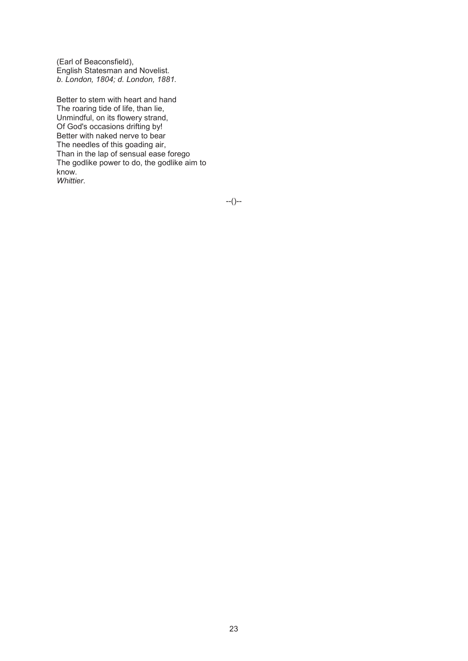(Earl of Beaconsfield), English Statesman and Novelist. *b. London, 1804; d. London, 1881.* 

Better to stem with heart and hand The roaring tide of life, than lie, Unmindful, on its flowery strand, Of God's occasions drifting by! Better with naked nerve to bear The needles of this goading air, Than in the lap of sensual ease forego The godlike power to do, the godlike aim to know. *Whittier*.

--()--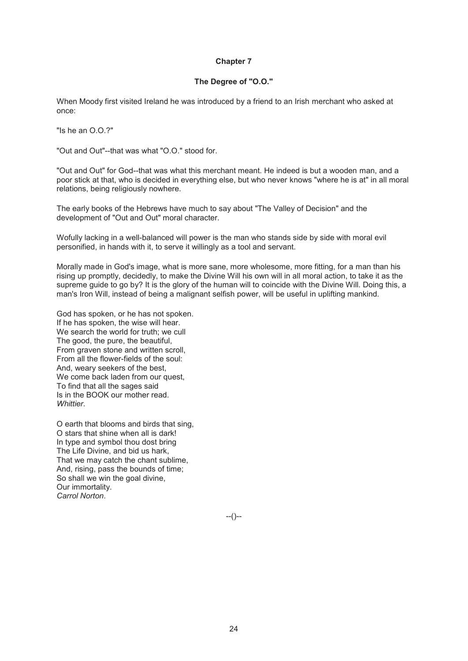# **The Degree of "O.O."**

When Moody first visited Ireland he was introduced by a friend to an Irish merchant who asked at once:

"Is he an O.O.?"

"Out and Out"--that was what "O.O." stood for.

"Out and Out" for God--that was what this merchant meant. He indeed is but a wooden man, and a poor stick at that, who is decided in everything else, but who never knows "where he is at" in all moral relations, being religiously nowhere.

The early books of the Hebrews have much to say about "The Valley of Decision" and the development of "Out and Out" moral character.

Wofully lacking in a well-balanced will power is the man who stands side by side with moral evil personified, in hands with it, to serve it willingly as a tool and servant.

Morally made in God's image, what is more sane, more wholesome, more fitting, for a man than his rising up promptly, decidedly, to make the Divine Will his own will in all moral action, to take it as the supreme guide to go by? It is the glory of the human will to coincide with the Divine Will. Doing this, a man's Iron Will, instead of being a malignant selfish power, will be useful in uplifting mankind.

God has spoken, or he has not spoken. If he has spoken, the wise will hear. We search the world for truth; we cull The good, the pure, the beautiful, From graven stone and written scroll, From all the flower-fields of the soul: And, weary seekers of the best, We come back laden from our quest. To find that all the sages said Is in the BOOK our mother read. *Whittier*.

O earth that blooms and birds that sing, O stars that shine when all is dark! In type and symbol thou dost bring The Life Divine, and bid us hark, That we may catch the chant sublime, And, rising, pass the bounds of time; So shall we win the goal divine, Our immortality. *Carrol Norton*.

--()--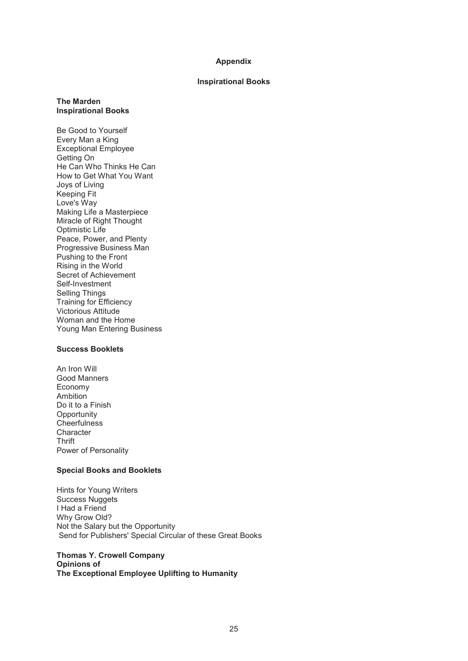### **Appendix**

# **Inspirational Books**

# **The Marden Inspirational Books**

Be Good to Yourself Every Man a King Exceptional Employee Getting On He Can Who Thinks He Can How to Get What You Want Joys of Living Keeping Fit Love's Way Making Life a Masterpiece Miracle of Right Thought Optimistic Life Peace, Power, and Plenty Progressive Business Man Pushing to the Front Rising in the World Secret of Achievement Self-Investment Selling Things Training for Efficiency Victorious Attitude Woman and the Home Young Man Entering Business

# **Success Booklets**

An Iron Will Good Manners Economy Ambition Do it to a Finish **Opportunity Cheerfulness Character Thrift** Power of Personality

# **Special Books and Booklets**

Hints for Young Writers Success Nuggets I Had a Friend Why Grow Old? Not the Salary but the Opportunity Send for Publishers' Special Circular of these Great Books

## **Thomas Y. Crowell Company Opinions of The Exceptional Employee Uplifting to Humanity**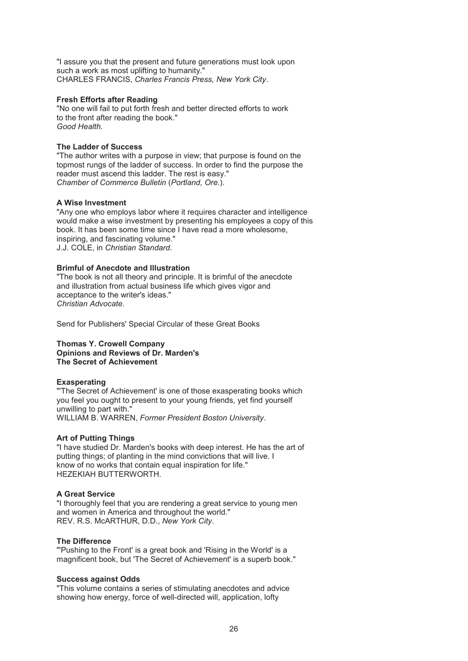"I assure you that the present and future generations must look upon such a work as most uplifting to humanity." CHARLES FRANCIS, *Charles Francis Press, New York City*.

### **Fresh Efforts after Reading**

"No one will fail to put forth fresh and better directed efforts to work to the front after reading the book." *Good Health.* 

# **The Ladder of Success**

"The author writes with a purpose in view; that purpose is found on the topmost rungs of the ladder of success. In order to find the purpose the reader must ascend this ladder. The rest is easy." *Chamber of Commerce Bulletin* (*Portland, Ore*.).

# **A Wise Investment**

"Any one who employs labor where it requires character and intelligence would make a wise investment by presenting his employees a copy of this book. It has been some time since I have read a more wholesome, inspiring, and fascinating volume." J.J. COLE, in *Christian Standard*.

# **Brimful of Anecdote and Illustration**

"The book is not all theory and principle. It is brimful of the anecdote and illustration from actual business life which gives vigor and acceptance to the writer's ideas." *Christian Advocate.* 

Send for Publishers' Special Circular of these Great Books

## **Thomas Y. Crowell Company Opinions and Reviews of Dr. Marden's The Secret of Achievement**

#### **Exasperating**

"The Secret of Achievement' is one of those exasperating books which you feel you ought to present to your young friends, yet find yourself unwilling to part with." WILLIAM B. WARREN, *Former President Boston University*.

#### **Art of Putting Things**

"I have studied Dr. Marden's books with deep interest. He has the art of putting things; of planting in the mind convictions that will live. I know of no works that contain equal inspiration for life." HEZEKIAH BUTTERWORTH.

#### **A Great Service**

"I thoroughly feel that you are rendering a great service to young men and women in America and throughout the world." REV. R.S. McARTHUR, D.D., *New York City*.

#### **The Difference**

"'Pushing to the Front' is a great book and 'Rising in the World' is a magnificent book, but 'The Secret of Achievement' is a superb book."

#### **Success against Odds**

"This volume contains a series of stimulating anecdotes and advice showing how energy, force of well-directed will, application, lofty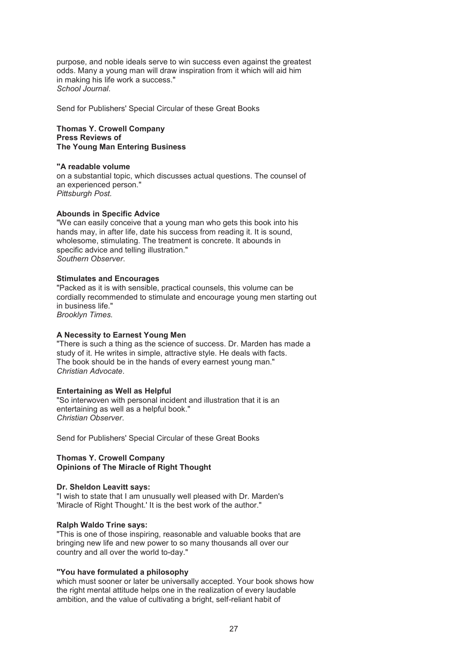purpose, and noble ideals serve to win success even against the greatest odds. Many a young man will draw inspiration from it which will aid him in making his life work a success." *School Journal*.

Send for Publishers' Special Circular of these Great Books

### **Thomas Y. Crowell Company Press Reviews of The Young Man Entering Business**

#### **"A readable volume**

on a substantial topic, which discusses actual questions. The counsel of an experienced person." *Pittsburgh Post.* 

# **Abounds in Specific Advice**

"We can easily conceive that a young man who gets this book into his hands may, in after life, date his success from reading it. It is sound, wholesome, stimulating. The treatment is concrete. It abounds in specific advice and telling illustration." *Southern Observer*.

### **Stimulates and Encourages**

"Packed as it is with sensible, practical counsels, this volume can be cordially recommended to stimulate and encourage young men starting out in business life." *Brooklyn Times.* 

#### **A Necessity to Earnest Young Men**

"There is such a thing as the science of success. Dr. Marden has made a study of it. He writes in simple, attractive style. He deals with facts. The book should be in the hands of every earnest young man." *Christian Advocate*.

# **Entertaining as Well as Helpful**

"So interwoven with personal incident and illustration that it is an entertaining as well as a helpful book." *Christian Observer*.

Send for Publishers' Special Circular of these Great Books

#### **Thomas Y. Crowell Company Opinions of The Miracle of Right Thought**

### **Dr. Sheldon Leavitt says:**

"I wish to state that I am unusually well pleased with Dr. Marden's 'Miracle of Right Thought.' It is the best work of the author."

#### **Ralph Waldo Trine says:**

"This is one of those inspiring, reasonable and valuable books that are bringing new life and new power to so many thousands all over our country and all over the world to-day."

#### **"You have formulated a philosophy**

which must sooner or later be universally accepted. Your book shows how the right mental attitude helps one in the realization of every laudable ambition, and the value of cultivating a bright, self-reliant habit of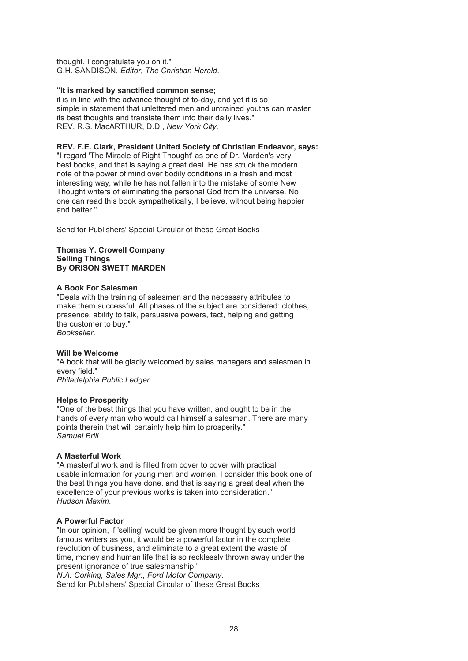thought. I congratulate you on it." G.H. SANDISON, *Editor, The Christian Herald*.

# **"It is marked by sanctified common sense;**

it is in line with the advance thought of to-day, and yet it is so simple in statement that unlettered men and untrained youths can master its best thoughts and translate them into their daily lives." REV. R.S. MacARTHUR, D.D., *New York City*.

# **REV. F.E. Clark, President United Society of Christian Endeavor, says:**

"I regard 'The Miracle of Right Thought' as one of Dr. Marden's very best books, and that is saying a great deal. He has struck the modern note of the power of mind over bodily conditions in a fresh and most interesting way, while he has not fallen into the mistake of some New Thought writers of eliminating the personal God from the universe. No one can read this book sympathetically, I believe, without being happier and better."

Send for Publishers' Special Circular of these Great Books

## **Thomas Y. Crowell Company Selling Things By ORISON SWETT MARDEN**

# **A Book For Salesmen**

"Deals with the training of salesmen and the necessary attributes to make them successful. All phases of the subject are considered: clothes, presence, ability to talk, persuasive powers, tact, helping and getting the customer to buy." *Bookseller*.

#### **Will be Welcome**

"A book that will be gladly welcomed by sales managers and salesmen in every field." *Philadelphia Public Ledger*.

#### **Helps to Prosperity**

"One of the best things that you have written, and ought to be in the hands of every man who would call himself a salesman. There are many points therein that will certainly help him to prosperity." *Samuel Brill*.

# **A Masterful Work**

"A masterful work and is filled from cover to cover with practical usable information for young men and women. I consider this book one of the best things you have done, and that is saying a great deal when the excellence of your previous works is taken into consideration." *Hudson Maxim*.

# **A Powerful Factor**

"In our opinion, if 'selling' would be given more thought by such world famous writers as you, it would be a powerful factor in the complete revolution of business, and eliminate to a great extent the waste of time, money and human life that is so recklessly thrown away under the present ignorance of true salesmanship." *N.A. Corking, Sales Mgr., Ford Motor Company*.

Send for Publishers' Special Circular of these Great Books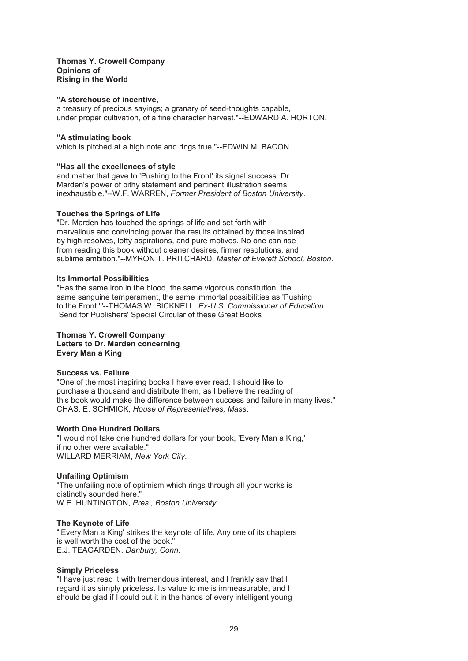#### **Thomas Y. Crowell Company Opinions of Rising in the World**

#### **"A storehouse of incentive,**

a treasury of precious sayings; a granary of seed-thoughts capable, under proper cultivation, of a fine character harvest."--EDWARD A. HORTON.

#### **"A stimulating book**

which is pitched at a high note and rings true."--EDWIN M. BACON.

#### **"Has all the excellences of style**

and matter that gave to 'Pushing to the Front' its signal success. Dr. Marden's power of pithy statement and pertinent illustration seems inexhaustible."--W.F. WARREN, *Former President of Boston University*.

# **Touches the Springs of Life**

"Dr. Marden has touched the springs of life and set forth with marvellous and convincing power the results obtained by those inspired by high resolves, lofty aspirations, and pure motives. No one can rise from reading this book without cleaner desires, firmer resolutions, and sublime ambition."--MYRON T. PRITCHARD, *Master of Everett School, Boston*.

# **Its Immortal Possibilities**

"Has the same iron in the blood, the same vigorous constitution, the same sanguine temperament, the same immortal possibilities as 'Pushing to the Front.'"--THOMAS W. BICKNELL, *Ex-U.S. Commissioner of Education*. Send for Publishers' Special Circular of these Great Books

#### **Thomas Y. Crowell Company Letters to Dr. Marden concerning Every Man a King**

#### **Success vs. Failure**

"One of the most inspiring books I have ever read. I should like to purchase a thousand and distribute them, as I believe the reading of this book would make the difference between success and failure in many lives." CHAS. E. SCHMICK, *House of Representatives, Mass*.

#### **Worth One Hundred Dollars**

"I would not take one hundred dollars for your book, 'Every Man a King,' if no other were available." WILLARD MERRIAM, *New York City*.

#### **Unfailing Optimism**

"The unfailing note of optimism which rings through all your works is distinctly sounded here." W.E. HUNTINGTON, *Pres., Boston University*.

#### **The Keynote of Life**

"'Every Man a King' strikes the keynote of life. Any one of its chapters is well worth the cost of the book." E.J. TEAGARDEN, *Danbury, Conn*.

#### **Simply Priceless**

"I have just read it with tremendous interest, and I frankly say that I regard it as simply priceless. Its value to me is immeasurable, and I should be glad if I could put it in the hands of every intelligent young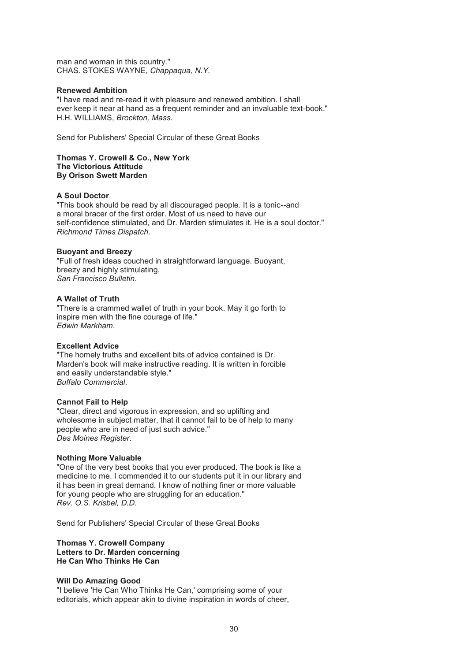man and woman in this country." CHAS. STOKES WAYNE, *Chappaqua, N.Y*.

#### **Renewed Ambition**

"I have read and re-read it with pleasure and renewed ambition. I shall ever keep it near at hand as a frequent reminder and an invaluable text-book." H.H. WILLIAMS, *Brockton, Mass*.

Send for Publishers' Special Circular of these Great Books

#### **Thomas Y. Crowell & Co., New York The Victorious Attitude By Orison Swett Marden**

#### **A Soul Doctor**

"This book should be read by all discouraged people. It is a tonic--and a moral bracer of the first order. Most of us need to have our self-confidence stimulated, and Dr. Marden stimulates it. He is a soul doctor." *Richmond Times Dispatch*.

#### **Buoyant and Breezy**

"Full of fresh ideas couched in straightforward language. Buoyant, breezy and highly stimulating. *San Francisco Bulletin*.

# **A Wallet of Truth**

"There is a crammed wallet of truth in your book. May it go forth to inspire men with the fine courage of life." *Edwin Markham*.

#### **Excellent Advice**

"The homely truths and excellent bits of advice contained is Dr. Marden's book will make instructive reading. It is written in forcible and easily understandable style." *Buffalo Commercial*.

#### **Cannot Fail to Help**

"Clear, direct and vigorous in expression, and so uplifting and wholesome in subject matter, that it cannot fail to be of help to many people who are in need of just such advice." *Des Moines Register*.

#### **Nothing More Valuable**

"One of the very best books that you ever produced. The book is like a medicine to me. I commended it to our students put it in our library and it has been in great demand. I know of nothing finer or more valuable for young people who are struggling for an education." *Rev. O.S. Krisbel, D.D*.

Send for Publishers' Special Circular of these Great Books

#### **Thomas Y. Crowell Company Letters to Dr. Marden concerning He Can Who Thinks He Can**

#### **Will Do Amazing Good**

"I believe 'He Can Who Thinks He Can,' comprising some of your editorials, which appear akin to divine inspiration in words of cheer,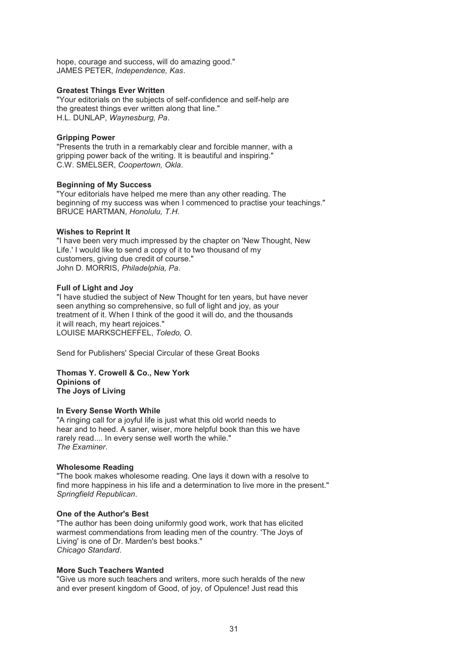hope, courage and success, will do amazing good." JAMES PETER, *Independence, Kas*.

# **Greatest Things Ever Written**

"Your editorials on the subjects of self-confidence and self-help are the greatest things ever written along that line." H.L. DUNLAP, *Waynesburg, Pa*.

### **Gripping Power**

"Presents the truth in a remarkably clear and forcible manner, with a gripping power back of the writing. It is beautiful and inspiring." C.W. SMELSER, *Coopertown, Okla*.

# **Beginning of My Success**

"Your editorials have helped me mere than any other reading. The beginning of my success was when I commenced to practise your teachings." BRUCE HARTMAN, *Honolulu, T.H*.

# **Wishes to Reprint It**

"I have been very much impressed by the chapter on 'New Thought, New Life.' I would like to send a copy of it to two thousand of my customers, giving due credit of course." John D. MORRIS, *Philadelphia, Pa*.

# **Full of Light and Joy**

"I have studied the subject of New Thought for ten years, but have never seen anything so comprehensive, so full of light and joy, as your treatment of it. When I think of the good it will do, and the thousands it will reach, my heart rejoices." LOUISE MARKSCHEFFEL, *Toledo, O*.

Send for Publishers' Special Circular of these Great Books

**Thomas Y. Crowell & Co., New York Opinions of The Joys of Living** 

#### **In Every Sense Worth While**

"A ringing call for a joyful life is just what this old world needs to hear and to heed. A saner, wiser, more helpful book than this we have rarely read.... In every sense well worth the while." *The Examiner*.

#### **Wholesome Reading**

"The book makes wholesome reading. One lays it down with a resolve to find more happiness in his life and a determination to live more in the present." *Springfield Republican*.

#### **One of the Author's Best**

"The author has been doing uniformly good work, work that has elicited warmest commendations from leading men of the country. 'The Joys of Living' is one of Dr. Marden's best books." *Chicago Standard*.

#### **More Such Teachers Wanted**

"Give us more such teachers and writers, more such heralds of the new and ever present kingdom of Good, of joy, of Opulence! Just read this